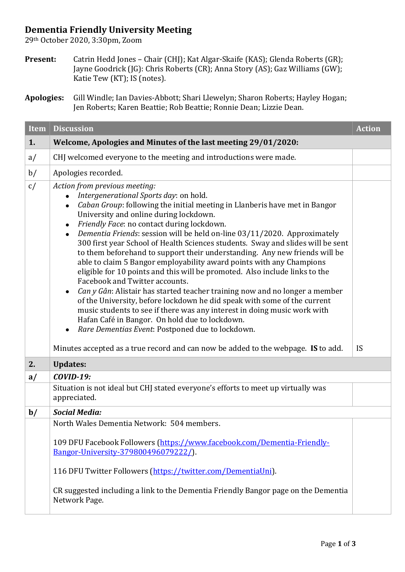## **Dementia Friendly University Meeting**

29th October 2020, 3:30pm, Zoom

**Present:** Catrin Hedd Jones – Chair (CHJ); Kat Algar-Skaife (KAS); Glenda Roberts (GR); Jayne Goodrick (JG): Chris Roberts (CR); Anna Story (AS); Gaz Williams (GW); Katie Tew (KT); IS (notes).

| <b>Item</b>   | <b>Discussion</b>                                                                                                                                                                                                                                                                                                                                                                                                                                                                                                                                                                                                                                                                                                                                                                                                                                                                                                                                                                                                                             | <b>Action</b> |  |
|---------------|-----------------------------------------------------------------------------------------------------------------------------------------------------------------------------------------------------------------------------------------------------------------------------------------------------------------------------------------------------------------------------------------------------------------------------------------------------------------------------------------------------------------------------------------------------------------------------------------------------------------------------------------------------------------------------------------------------------------------------------------------------------------------------------------------------------------------------------------------------------------------------------------------------------------------------------------------------------------------------------------------------------------------------------------------|---------------|--|
| 1.            | Welcome, Apologies and Minutes of the last meeting 29/01/2020:                                                                                                                                                                                                                                                                                                                                                                                                                                                                                                                                                                                                                                                                                                                                                                                                                                                                                                                                                                                |               |  |
| a/            | CHJ welcomed everyone to the meeting and introductions were made.                                                                                                                                                                                                                                                                                                                                                                                                                                                                                                                                                                                                                                                                                                                                                                                                                                                                                                                                                                             |               |  |
| b/            | Apologies recorded.                                                                                                                                                                                                                                                                                                                                                                                                                                                                                                                                                                                                                                                                                                                                                                                                                                                                                                                                                                                                                           |               |  |
| c/            | Action from previous meeting:<br>Intergenerational Sports day: on hold.<br>Caban Group: following the initial meeting in Llanberis have met in Bangor<br>University and online during lockdown.<br>Friendly Face: no contact during lockdown.<br>Dementia Friends: session will be held on-line 03/11/2020. Approximately<br>$\bullet$<br>300 first year School of Health Sciences students. Sway and slides will be sent<br>to them beforehand to support their understanding. Any new friends will be<br>able to claim 5 Bangor employability award points with any Champions<br>eligible for 10 points and this will be promoted. Also include links to the<br>Facebook and Twitter accounts.<br>Can y Gân: Alistair has started teacher training now and no longer a member<br>of the University, before lockdown he did speak with some of the current<br>music students to see if there was any interest in doing music work with<br>Hafan Café in Bangor. On hold due to lockdown.<br>Rare Dementias Event: Postponed due to lockdown. |               |  |
|               | Minutes accepted as a true record and can now be added to the webpage. IS to add.                                                                                                                                                                                                                                                                                                                                                                                                                                                                                                                                                                                                                                                                                                                                                                                                                                                                                                                                                             | IS            |  |
| 2.            | <b>Updates:</b><br><b>COVID-19:</b>                                                                                                                                                                                                                                                                                                                                                                                                                                                                                                                                                                                                                                                                                                                                                                                                                                                                                                                                                                                                           |               |  |
| a/            | Situation is not ideal but CHJ stated everyone's efforts to meet up virtually was<br>appreciated.                                                                                                                                                                                                                                                                                                                                                                                                                                                                                                                                                                                                                                                                                                                                                                                                                                                                                                                                             |               |  |
| $\mathbf{b}/$ | <b>Social Media:</b>                                                                                                                                                                                                                                                                                                                                                                                                                                                                                                                                                                                                                                                                                                                                                                                                                                                                                                                                                                                                                          |               |  |
|               | North Wales Dementia Network: 504 members.<br>109 DFU Facebook Followers (https://www.facebook.com/Dementia-Friendly-<br>Bangor-University-379800496079222/).<br>116 DFU Twitter Followers (https://twitter.com/DementiaUni).<br>CR suggested including a link to the Dementia Friendly Bangor page on the Dementia<br>Network Page.                                                                                                                                                                                                                                                                                                                                                                                                                                                                                                                                                                                                                                                                                                          |               |  |

**Apologies:** Gill Windle; Ian Davies-Abbott; Shari Llewelyn; Sharon Roberts; Hayley Hogan; Jen Roberts; Karen Beattie; Rob Beattie; Ronnie Dean; Lizzie Dean.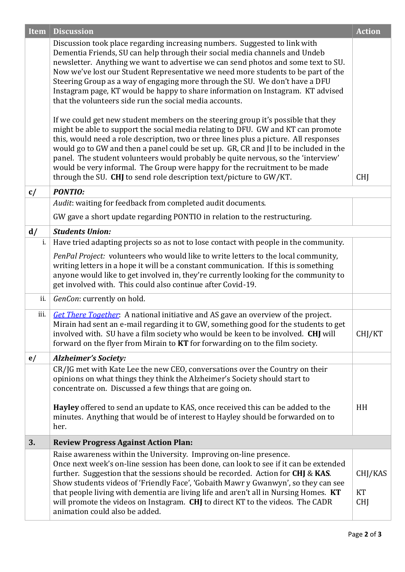| <b>Item</b> | <b>Discussion</b>                                                                                                                                                                                                                                                                                                                                                                                                                                                                                                                                                                                                                                                                                                                                                                                                                                                                                                                                                                                                                                                                                                                                                      | <b>Action</b>               |
|-------------|------------------------------------------------------------------------------------------------------------------------------------------------------------------------------------------------------------------------------------------------------------------------------------------------------------------------------------------------------------------------------------------------------------------------------------------------------------------------------------------------------------------------------------------------------------------------------------------------------------------------------------------------------------------------------------------------------------------------------------------------------------------------------------------------------------------------------------------------------------------------------------------------------------------------------------------------------------------------------------------------------------------------------------------------------------------------------------------------------------------------------------------------------------------------|-----------------------------|
|             | Discussion took place regarding increasing numbers. Suggested to link with<br>Dementia Friends, SU can help through their social media channels and Undeb<br>newsletter. Anything we want to advertise we can send photos and some text to SU.<br>Now we've lost our Student Representative we need more students to be part of the<br>Steering Group as a way of engaging more through the SU. We don't have a DFU<br>Instagram page, KT would be happy to share information on Instagram. KT advised<br>that the volunteers side run the social media accounts.<br>If we could get new student members on the steering group it's possible that they<br>might be able to support the social media relating to DFU. GW and KT can promote<br>this, would need a role description, two or three lines plus a picture. All responses<br>would go to GW and then a panel could be set up. GR, CR and JI to be included in the<br>panel. The student volunteers would probably be quite nervous, so the 'interview'<br>would be very informal. The Group were happy for the recruitment to be made<br>through the SU. CHJ to send role description text/picture to GW/KT. | <b>CHJ</b>                  |
| c/          | <b>PONTIO:</b>                                                                                                                                                                                                                                                                                                                                                                                                                                                                                                                                                                                                                                                                                                                                                                                                                                                                                                                                                                                                                                                                                                                                                         |                             |
|             | Audit: waiting for feedback from completed audit documents.                                                                                                                                                                                                                                                                                                                                                                                                                                                                                                                                                                                                                                                                                                                                                                                                                                                                                                                                                                                                                                                                                                            |                             |
|             | GW gave a short update regarding PONTIO in relation to the restructuring.                                                                                                                                                                                                                                                                                                                                                                                                                                                                                                                                                                                                                                                                                                                                                                                                                                                                                                                                                                                                                                                                                              |                             |
| d/          | <b>Students Union:</b>                                                                                                                                                                                                                                                                                                                                                                                                                                                                                                                                                                                                                                                                                                                                                                                                                                                                                                                                                                                                                                                                                                                                                 |                             |
| i.          | Have tried adapting projects so as not to lose contact with people in the community.                                                                                                                                                                                                                                                                                                                                                                                                                                                                                                                                                                                                                                                                                                                                                                                                                                                                                                                                                                                                                                                                                   |                             |
|             | PenPal Project: volunteers who would like to write letters to the local community,<br>writing letters in a hope it will be a constant communication. If this is something<br>anyone would like to get involved in, they're currently looking for the community to<br>get involved with. This could also continue after Covid-19.                                                                                                                                                                                                                                                                                                                                                                                                                                                                                                                                                                                                                                                                                                                                                                                                                                       |                             |
| ii.         | GenCon: currently on hold.                                                                                                                                                                                                                                                                                                                                                                                                                                                                                                                                                                                                                                                                                                                                                                                                                                                                                                                                                                                                                                                                                                                                             |                             |
| iii.        | Get There Together: A national initiative and AS gave an overview of the project.<br>Mirain had sent an e-mail regarding it to GW, something good for the students to get<br>involved with. SU have a film society who would be keen to be involved. CHJ will<br>forward on the flyer from Mirain to KT for forwarding on to the film society.                                                                                                                                                                                                                                                                                                                                                                                                                                                                                                                                                                                                                                                                                                                                                                                                                         | CHJ/KT                      |
| e/          | <b>Alzheimer's Society:</b>                                                                                                                                                                                                                                                                                                                                                                                                                                                                                                                                                                                                                                                                                                                                                                                                                                                                                                                                                                                                                                                                                                                                            |                             |
|             | CR/JG met with Kate Lee the new CEO, conversations over the Country on their<br>opinions on what things they think the Alzheimer's Society should start to<br>concentrate on. Discussed a few things that are going on.<br>Hayley offered to send an update to KAS, once received this can be added to the<br>minutes. Anything that would be of interest to Hayley should be forwarded on to<br>her.                                                                                                                                                                                                                                                                                                                                                                                                                                                                                                                                                                                                                                                                                                                                                                  | HH                          |
| 3.          | <b>Review Progress Against Action Plan:</b>                                                                                                                                                                                                                                                                                                                                                                                                                                                                                                                                                                                                                                                                                                                                                                                                                                                                                                                                                                                                                                                                                                                            |                             |
|             | Raise awareness within the University. Improving on-line presence.<br>Once next week's on-line session has been done, can look to see if it can be extended<br>further. Suggestion that the sessions should be recorded. Action for CHJ & KAS.<br>Show students videos of 'Friendly Face', 'Gobaith Mawr y Gwanwyn', so they can see<br>that people living with dementia are living life and aren't all in Nursing Homes. KT<br>will promote the videos on Instagram. CHJ to direct KT to the videos. The CADR<br>animation could also be added.                                                                                                                                                                                                                                                                                                                                                                                                                                                                                                                                                                                                                       | CHJ/KAS<br>KT<br><b>CHJ</b> |